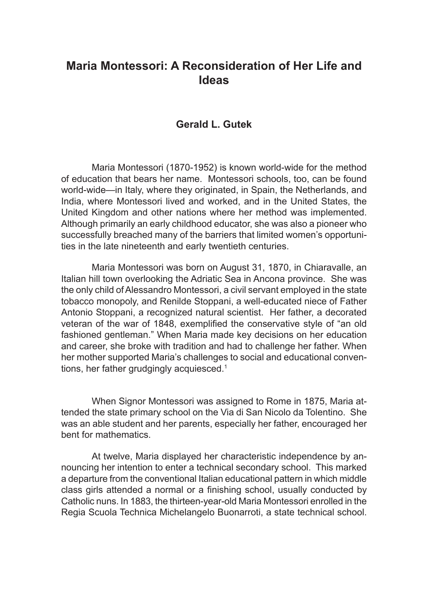## **Maria Montessori: A Reconsideration of Her Life and Ideas**

## **Gerald L. Gutek**

Maria Montessori (1870‑1952) is known world-wide for the method of education that bears her name. Montessori schools, too, can be found world-wide—in Italy, where they originated, in Spain, the Netherlands, and India, where Montessori lived and worked, and in the United States, the United Kingdom and other nations where her method was implemented. Although primarily an early childhood educator, she was also a pioneer who successfully breached many of the barriers that limited women's opportunities in the late nineteenth and early twentieth centuries.

Maria Montessori was born on August 31, 1870, in Chiaravalle, an Italian hill town overlooking the Adriatic Sea in Ancona province. She was the only child of Alessandro Montessori, a civil servant employed in the state tobacco monopoly, and Renilde Stoppani, a well‑educated niece of Father Antonio Stoppani, a recognized natural scientist. Her father, a decorated veteran of the war of 1848, exemplified the conservative style of "an old fashioned gentleman." When Maria made key decisions on her education and career, she broke with tradition and had to challenge her father. When her mother supported Maria's challenges to social and educational conventions, her father grudgingly acquiesced.<sup>1</sup>

When Signor Montessori was assigned to Rome in 1875, Maria attended the state primary school on the Via di San Nicolo da Tolentino. She was an able student and her parents, especially her father, encouraged her bent for mathematics.

At twelve, Maria displayed her characteristic independence by announcing her intention to enter a technical secondary school. This marked a departure from the conventional Italian educational pattern in which middle class girls attended a normal or a finishing school, usually conducted by Catholic nuns. In 1883, the thirteen-year-old Maria Montessori enrolled in the Regia Scuola Technica Michelangelo Buonarroti, a state technical school.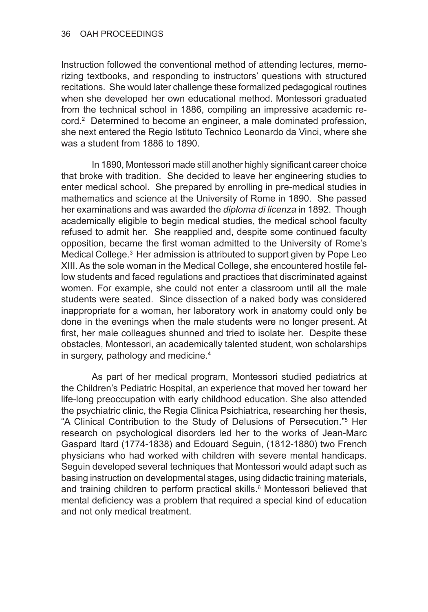Instruction followed the conventional method of attending lectures, memorizing textbooks, and responding to instructors' questions with structured recitations. She would later challenge these formalized pedagogical routines when she developed her own educational method. Montessori graduated from the technical school in 1886, compiling an impressive academic record.2 Determined to become an engineer, a male dominated profession, she next entered the Regio Istituto Technico Leonardo da Vinci, where she was a student from 1886 to 1890.

In 1890, Montessori made still another highly significant career choice that broke with tradition. She decided to leave her engineering studies to enter medical school. She prepared by enrolling in pre-medical studies in mathematics and science at the University of Rome in 1890. She passed her examinations and was awarded the *diploma di licenza* in 1892. Though academically eligible to begin medical studies, the medical school faculty refused to admit her. She reapplied and, despite some continued faculty opposition, became the first woman admitted to the University of Rome's Medical College.<sup>3</sup> Her admission is attributed to support given by Pope Leo XIII. As the sole woman in the Medical College, she encountered hostile fellow students and faced regulations and practices that discriminated against women. For example, she could not enter a classroom until all the male students were seated. Since dissection of a naked body was considered inappropriate for a woman, her laboratory work in anatomy could only be done in the evenings when the male students were no longer present. At first, her male colleagues shunned and tried to isolate her. Despite these obstacles, Montessori, an academically talented student, won scholarships in surgery, pathology and medicine.4

As part of her medical program, Montessori studied pediatrics at the Children's Pediatric Hospital, an experience that moved her toward her life‑long preoccupation with early childhood education. She also attended the psychiatric clinic, the Regia Clinica Psichiatrica, researching her thesis, "A Clinical Contribution to the Study of Delusions of Persecution."<sup>5</sup> Her research on psychological disorders led her to the works of Jean-Marc Gaspard Itard (1774‑1838) and Edouard Seguin, (1812‑1880) two French physicians who had worked with children with severe mental handicaps. Seguin developed several techniques that Montessori would adapt such as basing instruction on developmental stages, using didactic training materials, and training children to perform practical skills.<sup>6</sup> Montessori believed that mental deficiency was a problem that required a special kind of education and not only medical treatment.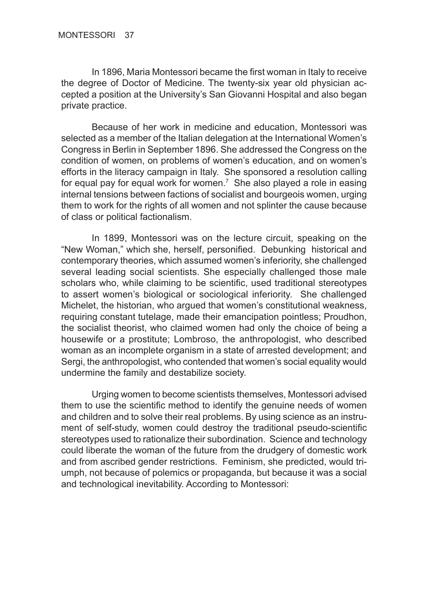In 1896, Maria Montessori became the first woman in Italy to receive the degree of Doctor of Medicine. The twenty‑six year old physician ac‑ cepted a position at the University's San Giovanni Hospital and also began private practice.

Because of her work in medicine and education, Montessori was selected as a member of the Italian delegation at the International Women's Congress in Berlin in September 1896. She addressed the Congress on the condition of women, on problems of women's education, and on women's efforts in the literacy campaign in Italy. She sponsored a resolution calling for equal pay for equal work for women.<sup>7</sup> She also played a role in easing internal tensions between factions of socialist and bourgeois women, urging them to work for the rights of all women and not splinter the cause because of class or political factionalism.

In 1899, Montessori was on the lecture circuit, speaking on the "New Woman," which she, herself, personified. Debunking historical and contemporary theories, which assumed women's inferiority, she challenged several leading social scientists. She especially challenged those male scholars who, while claiming to be scientific, used traditional stereotypes to assert women's biological or sociological inferiority. She challenged Michelet, the historian, who argued that women's constitutional weakness, requiring constant tutelage, made their emancipation pointless; Proudhon, the socialist theorist, who claimed women had only the choice of being a housewife or a prostitute; Lombroso, the anthropologist, who described woman as an incomplete organism in a state of arrested development; and Sergi, the anthropologist, who contended that women's social equality would undermine the family and destabilize society.

Urging women to become scientists themselves, Montessori advised them to use the scientific method to identify the genuine needs of women and children and to solve their real problems. By using science as an instrument of self-study, women could destroy the traditional pseudo-scientific stereotypes used to rationalize their subordination. Science and technology could liberate the woman of the future from the drudgery of domestic work and from ascribed gender restrictions. Feminism, she predicted, would triumph, not because of polemics or propaganda, but because it was a social and technological inevitability. According to Montessori: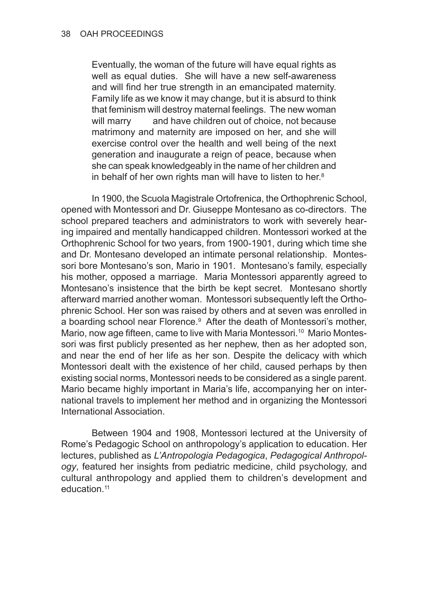Eventually, the woman of the future will have equal rights as well as equal duties. She will have a new self-awareness and will find her true strength in an emancipated maternity. Family life as we know it may change, but it is absurd to think that feminism will destroy maternal feelings. The new woman will marry and have children out of choice, not because matrimony and maternity are imposed on her, and she will exercise control over the health and well being of the next generation and inaugurate a reign of peace, because when she can speak knowledgeably in the name of her children and in behalf of her own rights man will have to listen to her.8

In 1900, the Scuola Magistrale Ortofrenica, the Orthophrenic School, opened with Montessori and Dr. Giuseppe Montesano as co-directors. The school prepared teachers and administrators to work with severely hearing impaired and mentally handicapped children. Montessori worked at the Orthophrenic School for two years, from 1900-1901, during which time she and Dr. Montesano developed an intimate personal relationship. Montessori bore Montesano's son, Mario in 1901. Montesano's family, especially his mother, opposed a marriage. Maria Montessori apparently agreed to Montesano's insistence that the birth be kept secret. Montesano shortly afterward married another woman. Montessori subsequently left the Orthophrenic School. Her son was raised by others and at seven was enrolled in a boarding school near Florence.<sup>9</sup> After the death of Montessori's mother, Mario, now age fifteen, came to live with Maria Montessori.<sup>10</sup> Mario Montessori was first publicly presented as her nephew, then as her adopted son, and near the end of her life as her son. Despite the delicacy with which Montessori dealt with the existence of her child, caused perhaps by then existing social norms, Montessori needs to be considered as a single parent. Mario became highly important in Maria's life, accompanying her on inter‑ national travels to implement her method and in organizing the Montessori International Association.

Between 1904 and 1908, Montessori lectured at the University of Rome's Pedagogic School on anthropology's application to education. Her lectures, published as *L'Antropologia Pedagogica*, *Pedagogical Anthropology*, featured her insights from pediatric medicine, child psychology, and cultural anthropology and applied them to children's development and education.<sup>11</sup>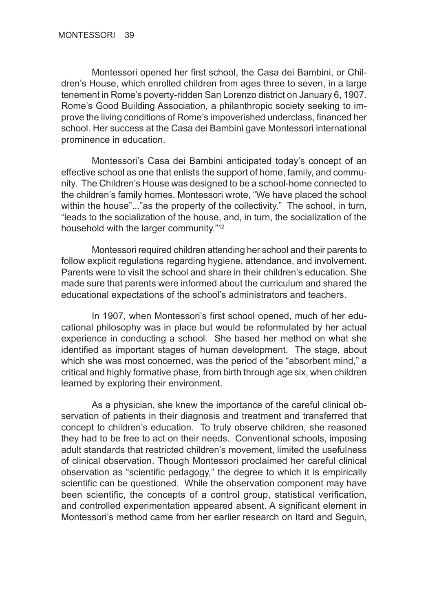Montessori opened her first school, the Casa dei Bambini, or Children's House, which enrolled children from ages three to seven, in a large tenement in Rome's poverty‑ridden San Lorenzo district on January 6, 1907. Rome's Good Building Association, a philanthropic society seeking to im‑ prove the living conditions of Rome's impoverished underclass, financed her school. Her success at the Casa dei Bambini gave Montessori international prominence in education.

Montessori's Casa dei Bambini anticipated today's concept of an effective school as one that enlists the support of home, family, and community. The Children's House was designed to be a school-home connected to the children's family homes. Montessori wrote, "We have placed the school within the house"..."as the property of the collectivity." The school, in turn, "leads to the socialization of the house, and, in turn, the socialization of the household with the larger community."12

Montessori required children attending her school and their parents to follow explicit regulations regarding hygiene, attendance, and involvement. Parents were to visit the school and share in their children's education. She made sure that parents were informed about the curriculum and shared the educational expectations of the school's administrators and teachers.

In 1907, when Montessori's first school opened, much of her educational philosophy was in place but would be reformulated by her actual experience in conducting a school. She based her method on what she identified as important stages of human development. The stage, about which she was most concerned, was the period of the "absorbent mind," a critical and highly formative phase, from birth through age six, when children learned by exploring their environment.

As a physician, she knew the importance of the careful clinical observation of patients in their diagnosis and treatment and transferred that concept to children's education. To truly observe children, she reasoned they had to be free to act on their needs. Conventional schools, imposing adult standards that restricted children's movement, limited the usefulness of clinical observation. Though Montessori proclaimed her careful clinical observation as "scientific pedagogy," the degree to which it is empirically scientific can be questioned. While the observation component may have been scientific, the concepts of a control group, statistical verification, and controlled experimentation appeared absent. A significant element in Montessori's method came from her earlier research on Itard and Seguin,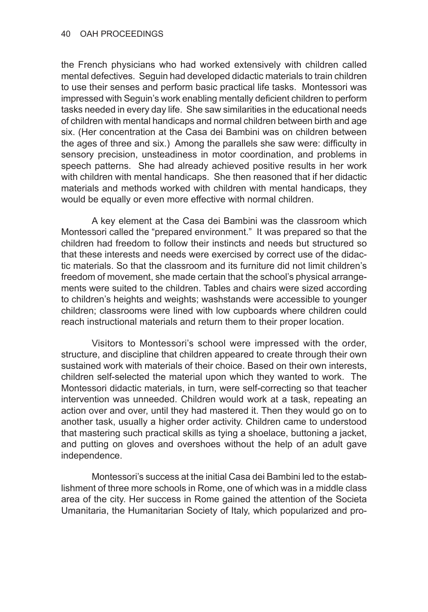the French physicians who had worked extensively with children called mental defectives. Seguin had developed didactic materials to train children to use their senses and perform basic practical life tasks. Montessori was impressed with Seguin's work enabling mentally deficient children to perform tasks needed in every day life. She saw similarities in the educational needs of children with mental handicaps and normal children between birth and age six. (Her concentration at the Casa dei Bambini was on children between the ages of three and six.) Among the parallels she saw were: difficulty in sensory precision, unsteadiness in motor coordination, and problems in speech patterns. She had already achieved positive results in her work with children with mental handicaps. She then reasoned that if her didactic materials and methods worked with children with mental handicaps, they would be equally or even more effective with normal children.

A key element at the Casa dei Bambini was the classroom which Montessori called the "prepared environment." It was prepared so that the children had freedom to follow their instincts and needs but structured so that these interests and needs were exercised by correct use of the didactic materials. So that the classroom and its furniture did not limit children's freedom of movement, she made certain that the school's physical arrangements were suited to the children. Tables and chairs were sized according to children's heights and weights; washstands were accessible to younger children; classrooms were lined with low cupboards where children could reach instructional materials and return them to their proper location.

Visitors to Montessori's school were impressed with the order, structure, and discipline that children appeared to create through their own sustained work with materials of their choice. Based on their own interests, children self-selected the material upon which they wanted to work. The Montessori didactic materials, in turn, were self-correcting so that teacher intervention was unneeded. Children would work at a task, repeating an action over and over, until they had mastered it. Then they would go on to another task, usually a higher order activity. Children came to understood that mastering such practical skills as tying a shoelace, buttoning a jacket, and putting on gloves and overshoes without the help of an adult gave independence.

Montessori's success at the initial Casa dei Bambini led to the establishment of three more schools in Rome, one of which was in a middle class area of the city. Her success in Rome gained the attention of the Societa Umanitaria, the Humanitarian Society of Italy, which popularized and pro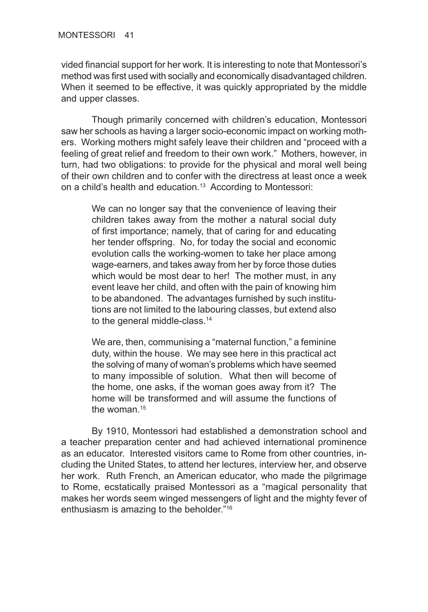vided financial support for her work. It is interesting to note that Montessori's method was first used with socially and economically disadvantaged children. When it seemed to be effective, it was quickly appropriated by the middle and upper classes.

Though primarily concerned with children's education, Montessori saw her schools as having a larger socio-economic impact on working mothers. Working mothers might safely leave their children and "proceed with a feeling of great relief and freedom to their own work." Mothers, however, in turn, had two obligations: to provide for the physical and moral well being of their own children and to confer with the directress at least once a week on a child's health and education.<sup>13</sup> According to Montessori:

We can no longer say that the convenience of leaving their children takes away from the mother a natural social duty of first importance; namely, that of caring for and educating her tender offspring. No, for today the social and economic evolution calls the working-women to take her place among wage-earners, and takes away from her by force those duties which would be most dear to her! The mother must, in any event leave her child, and often with the pain of knowing him to be abandoned. The advantages furnished by such institutions are not limited to the labouring classes, but extend also to the general middle-class.<sup>14</sup>

We are, then, communising a "maternal function," a feminine duty, within the house. We may see here in this practical act the solving of many of woman's problems which have seemed to many impossible of solution. What then will become of the home, one asks, if the woman goes away from it? The home will be transformed and will assume the functions of the woman  $15$ 

By 1910, Montessori had established a demonstration school and a teacher preparation center and had achieved international prominence as an educator. Interested visitors came to Rome from other countries, in‑ cluding the United States, to attend her lectures, interview her, and observe her work. Ruth French, an American educator, who made the pilgrimage to Rome, ecstatically praised Montessori as a "magical personality that makes her words seem winged messengers of light and the mighty fever of enthusiasm is amazing to the beholder."16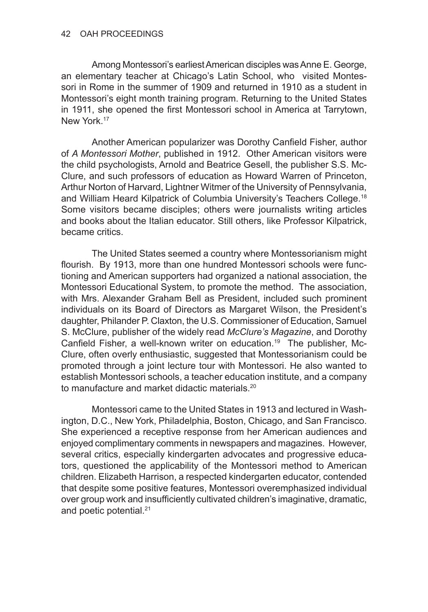Among Montessori's earliest American disciples was Anne E. George, an elementary teacher at Chicago's Latin School, who visited Montessori in Rome in the summer of 1909 and returned in 1910 as a student in Montessori's eight month training program. Returning to the United States in 1911, she opened the first Montessori school in America at Tarrytown, New York.<sup>17</sup>

Another American popularizer was Dorothy Canfield Fisher, author of *A Montessori Mother*, published in 1912. Other American visitors were the child psychologists, Arnold and Beatrice Gesell, the publisher S.S. Mc‑ Clure, and such professors of education as Howard Warren of Princeton, Arthur Norton of Harvard, Lightner Witmer of the University of Pennsylvania, and William Heard Kilpatrick of Columbia University's Teachers College.18 Some visitors became disciples; others were journalists writing articles and books about the Italian educator. Still others, like Professor Kilpatrick, became critics.

The United States seemed a country where Montessorianism might flourish. By 1913, more than one hundred Montessori schools were functioning and American supporters had organized a national association, the Montessori Educational System, to promote the method. The association, with Mrs. Alexander Graham Bell as President, included such prominent individuals on its Board of Directors as Margaret Wilson, the President's daughter, Philander P. Claxton, the U.S. Commissioner of Education, Samuel S. McClure, publisher of the widely read *McClure's Magazine*, and Dorothy Canfield Fisher, a well-known writer on education.<sup>19</sup> The publisher, Mc-Clure, often overly enthusiastic, suggested that Montessorianism could be promoted through a joint lecture tour with Montessori. He also wanted to establish Montessori schools, a teacher education institute, and a company to manufacture and market didactic materials.20

Montessori came to the United States in 1913 and lectured in Washington, D.C., New York, Philadelphia, Boston, Chicago, and San Francisco. She experienced a receptive response from her American audiences and enjoyed complimentary comments in newspapers and magazines. However, several critics, especially kindergarten advocates and progressive educators, questioned the applicability of the Montessori method to American children. Elizabeth Harrison, a respected kindergarten educator, contended that despite some positive features, Montessori overemphasized individual over group work and insufficiently cultivated children's imaginative, dramatic, and poetic potential.<sup>21</sup>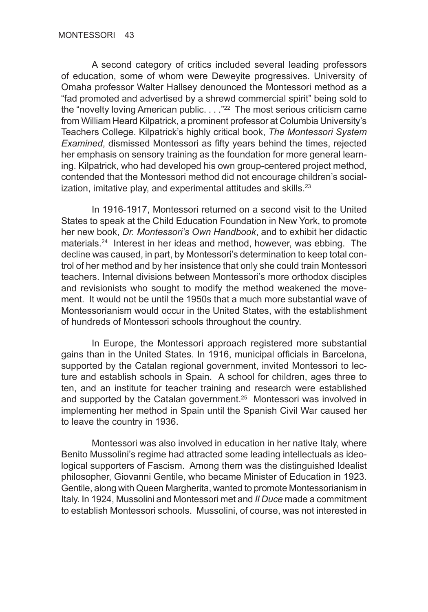A second category of critics included several leading professors of education, some of whom were Deweyite progressives. University of Omaha professor Walter Hallsey denounced the Montessori method as a "fad promoted and advertised by a shrewd commercial spirit" being sold to the "novelty loving American public.  $\ldots$  ."<sup>22</sup> The most serious criticism came from William Heard Kilpatrick, a prominent professor at Columbia University's Teachers College. Kilpatrick's highly critical book, *The Montessori System Examined*, dismissed Montessori as fifty years behind the times, rejected her emphasis on sensory training as the foundation for more general learning. Kilpatrick, who had developed his own group‑centered project method, contended that the Montessori method did not encourage children's social $i$ zation, imitative play, and experimental attitudes and skills. $23$ 

In 1916-1917, Montessori returned on a second visit to the United States to speak at the Child Education Foundation in New York, to promote her new book, *Dr. Montessori's Own Handbook*, and to exhibit her didactic materials.24 Interest in her ideas and method, however, was ebbing. The decline was caused, in part, by Montessori's determination to keep total control of her method and by her insistence that only she could train Montessori teachers. Internal divisions between Montessori's more orthodox disciples and revisionists who sought to modify the method weakened the movement. It would not be until the 1950s that a much more substantial wave of Montessorianism would occur in the United States, with the establishment of hundreds of Montessori schools throughout the country.

In Europe, the Montessori approach registered more substantial gains than in the United States. In 1916, municipal officials in Barcelona, supported by the Catalan regional government, invited Montessori to lecture and establish schools in Spain. A school for children, ages three to ten, and an institute for teacher training and research were established and supported by the Catalan government.<sup>25</sup> Montessori was involved in implementing her method in Spain until the Spanish Civil War caused her to leave the country in 1936.

Montessori was also involved in education in her native Italy, where Benito Mussolini's regime had attracted some leading intellectuals as ideological supporters of Fascism. Among them was the distinguished Idealist philosopher, Giovanni Gentile, who became Minister of Education in 1923. Gentile, along with Queen Margherita, wanted to promote Montessorianism in Italy. In 1924, Mussolini and Montessori met and *Il Duce* made a commitment to establish Montessori schools. Mussolini, of course, was not interested in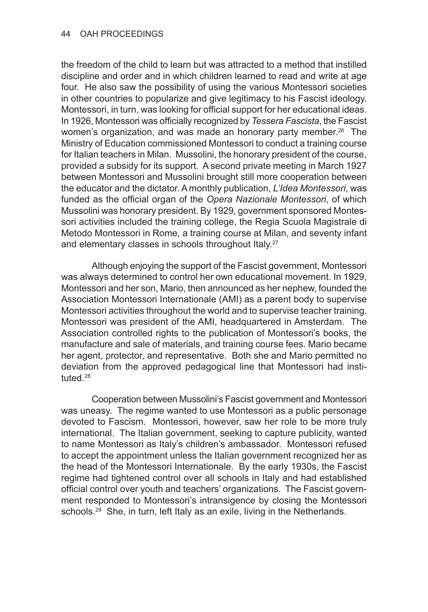the freedom of the child to learn but was attracted to a method that instilled discipline and order and in which children learned to read and write at age four. He also saw the possibility of using the various Montessori societies in other countries to popularize and give legitimacy to his Fascist ideology. Montessori, in turn, was looking for official support for her educational ideas. In 1926, Montessori was officially recognized by *Tessera Fascista*, the Fascist women's organization, and was made an honorary party member.<sup>26</sup> The Ministry of Education commissioned Montessori to conduct a training course for Italian teachers in Milan. Mussolini, the honorary president of the course, provided a subsidy for its support. A second private meeting in March 1927 between Montessori and Mussolini brought still more cooperation between the educator and the dictator. A monthly publication, *L'Idea Montessori*, was funded as the official organ of the *Opera Nazionale Montessori*, of which Mussolini was honorary president. By 1929, government sponsored Montes‑ sori activities included the training college, the Regia Scuola Magistrale di Metodo Montessori in Rome, a training course at Milan, and seventy infant and elementary classes in schools throughout Italy.<sup>27</sup>

Although enjoying the support of the Fascist government, Montessori was always determined to control her own educational movement. In 1929, Montessori and her son, Mario, then announced as her nephew, founded the Association Montessori Internationale (AMI) as a parent body to supervise Montessori activities throughout the world and to supervise teacher training. Montessori was president of the AMI, headquartered in Amsterdam. The Association controlled rights to the publication of Montessori's books, the manufacture and sale of materials, and training course fees. Mario became her agent, protector, and representative. Both she and Mario permitted no deviation from the approved pedagogical line that Montessori had instituted.28

Cooperation between Mussolini's Fascist government and Montessori was uneasy. The regime wanted to use Montessori as a public personage devoted to Fascism. Montessori, however, saw her role to be more truly international. The Italian government, seeking to capture publicity, wanted to name Montessori as Italy's children's ambassador. Montessori refused to accept the appointment unless the Italian government recognized her as the head of the Montessori Internationale. By the early 1930s, the Fascist regime had tightened control over all schools in Italy and had established official control over youth and teachers' organizations. The Fascist government responded to Montessori's intransigence by closing the Montessori schools.<sup>29</sup> She, in turn, left Italy as an exile, living in the Netherlands.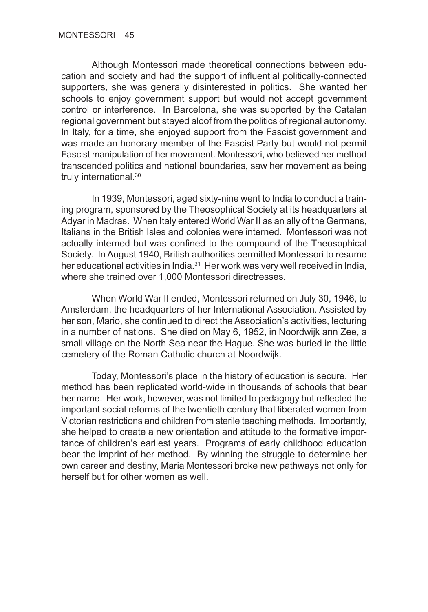Although Montessori made theoretical connections between education and society and had the support of influential politically-connected supporters, she was generally disinterested in politics. She wanted her schools to enjoy government support but would not accept government control or interference. In Barcelona, she was supported by the Catalan regional government but stayed aloof from the politics of regional autonomy. In Italy, for a time, she enjoyed support from the Fascist government and was made an honorary member of the Fascist Party but would not permit Fascist manipulation of her movement. Montessori, who believed her method transcended politics and national boundaries, saw her movement as being truly international.30

In 1939, Montessori, aged sixty-nine went to India to conduct a training program, sponsored by the Theosophical Society at its headquarters at Adyar in Madras. When Italy entered World War II as an ally of the Germans, Italians in the British Isles and colonies were interned. Montessori was not actually interned but was confined to the compound of the Theosophical Society. In August 1940, British authorities permitted Montessori to resume her educational activities in India.<sup>31</sup> Her work was very well received in India, where she trained over 1,000 Montessori directresses.

When World War II ended, Montessori returned on July 30, 1946, to Amsterdam, the headquarters of her International Association. Assisted by her son, Mario, she continued to direct the Association's activities, lecturing in a number of nations. She died on May 6, 1952, in Noordwijk ann Zee, a small village on the North Sea near the Hague. She was buried in the little cemetery of the Roman Catholic church at Noordwijk.

Today, Montessori's place in the history of education is secure. Her method has been replicated world-wide in thousands of schools that bear her name. Her work, however, was not limited to pedagogy but reflected the important social reforms of the twentieth century that liberated women from Victorian restrictions and children from sterile teaching methods. Importantly, she helped to create a new orientation and attitude to the formative importance of children's earliest years. Programs of early childhood education bear the imprint of her method. By winning the struggle to determine her own career and destiny, Maria Montessori broke new pathways not only for herself but for other women as well.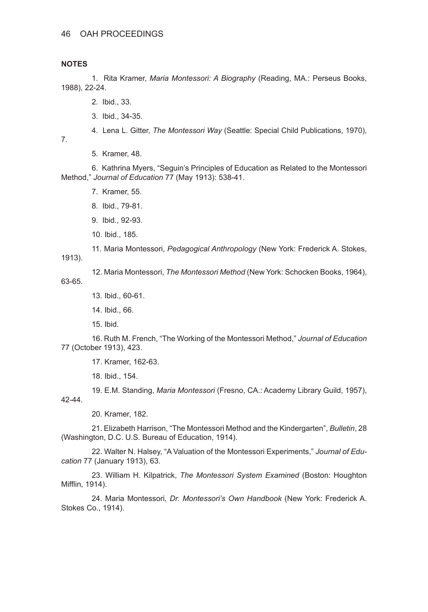## **NOTES**

1. Rita Kramer, *Maria Montessori: A Biography* (Reading, MA.: Perseus Books, 1988), 22-24.

- 2. Ibid., 33.
- 3. Ibid., 34-35.
- 4. Lena L. Gitter, *The Montessori Way* (Seattle: Special Child Publications, 1970),

7.

5. Kramer, 48.

6. Kathrina Myers, "Seguin's Principles of Education as Related to the Montessori Method," *Journal of Education* 77 (May 1913): 538-41.

- 7. Kramer, 55.
- 8. Ibid., 79-81.
- 9. Ibid., 92-93.
- 10. Ibid., 185.

11. Maria Montessori, *Pedagogical Anthropology* (New York: Frederick A. Stokes,

1913).

12. Maria Montessori, *The Montessori Method* (New York: Schocken Books, 1964),

63-65.

13. Ibid., 60-61.

14. Ibid., 66.

15. Ibid.

16. Ruth M. French, "The Working of the Montessori Method," *Journal of Education* 77 (October 1913), 423.

17. Kramer, 162-63.

18. Ibid., 154.

19. E.M. Standing, *Maria Montessori* (Fresno, CA.: Academy Library Guild, 1957), 42-44.

20. Kramer, 182.

21. Elizabeth Harrison, "The Montessori Method and the Kindergarten", *Bulletin*, 28 (Washington, D.C. U.S. Bureau of Education, 1914).

22. Walter N. Halsey, "A Valuation of the Montessori Experiments," *Journal of Education* 77 (January 1913), 63.

23. William H. Kilpatrick, *The Montessori System Examined* (Boston: Houghton Mifflin, 1914).

24. Maria Montessori, *Dr. Montessori's Own Handbook* (New York: Frederick A. Stokes Co., 1914).